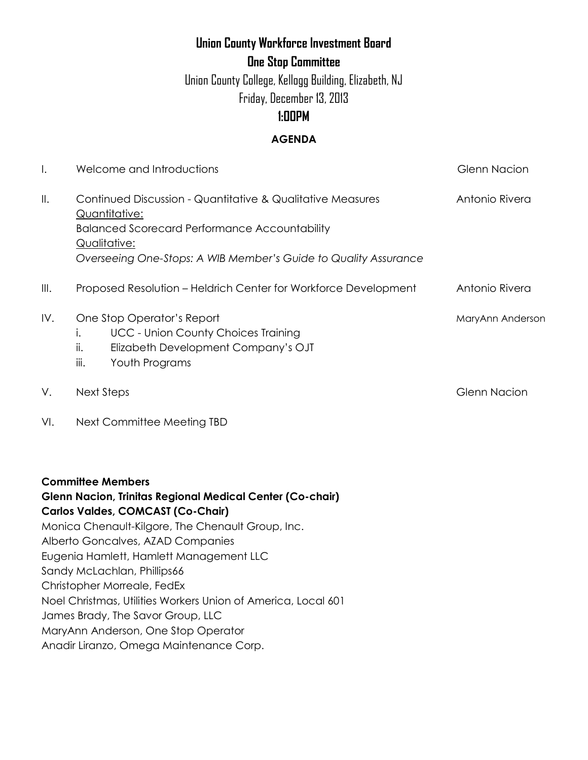# **Union County Workforce Investment Board**

**One Stop Committee**

Union County College, Kellogg Building, Elizabeth, NJ Friday, December 13, 2013

## **1:00PM**

### **AGENDA**

| Ι.   | Welcome and Introductions                                                                                                                                                                                                                                                                                                                                                                                                                                                         | <b>Glenn Nacion</b> |
|------|-----------------------------------------------------------------------------------------------------------------------------------------------------------------------------------------------------------------------------------------------------------------------------------------------------------------------------------------------------------------------------------------------------------------------------------------------------------------------------------|---------------------|
| II.  | Continued Discussion - Quantitative & Qualitative Measures<br>Quantitative:<br><b>Balanced Scorecard Performance Accountability</b><br>Qualitative:<br>Overseeing One-Stops: A WIB Member's Guide to Quality Assurance                                                                                                                                                                                                                                                            | Antonio Rivera      |
| III. | Proposed Resolution - Heldrich Center for Workforce Development                                                                                                                                                                                                                                                                                                                                                                                                                   | Antonio Rivera      |
| IV.  | One Stop Operator's Report<br><b>UCC - Union County Choices Training</b><br>$\mathsf{L}$<br>ii.<br>Elizabeth Development Company's OJT<br>Youth Programs<br>iii.                                                                                                                                                                                                                                                                                                                  | MaryAnn Anderson    |
| ٧.   | <b>Next Steps</b>                                                                                                                                                                                                                                                                                                                                                                                                                                                                 | <b>Glenn Nacion</b> |
| VI.  | Next Committee Meeting TBD                                                                                                                                                                                                                                                                                                                                                                                                                                                        |                     |
|      | <b>Committee Members</b><br>Glenn Nacion, Trinitas Regional Medical Center (Co-chair)<br><b>Carlos Valdes, COMCAST (Co-Chair)</b><br>Monica Chenault-Kilgore, The Chenault Group, Inc.<br>Alberto Goncalves, AZAD Companies<br>Eugenia Hamlett, Hamlett Management LLC<br>Sandy McLachlan, Phillips66<br>Christopher Morreale, FedEx<br>Noel Christmas, Utilities Workers Union of America, Local 601<br>James Brady, The Savor Group, LLC<br>MaryAnn Anderson, One Stop Operator |                     |
|      | Anadir Liranzo, Omega Maintenance Corp.                                                                                                                                                                                                                                                                                                                                                                                                                                           |                     |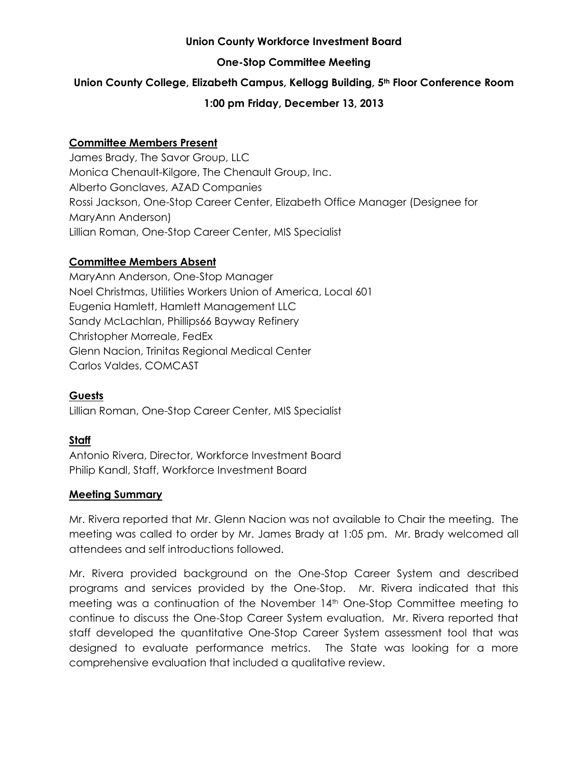#### **Union County Workforce Investment Board**

#### **One-Stop Committee Meeting**

#### **Union County College, Elizabeth Campus, Kellogg Building, 5th Floor Conference Room**

#### **1:00 pm Friday, December 13, 2013**

#### **Committee Members Present**

James Brady, The Savor Group, LLC Monica Chenault-Kilgore, The Chenault Group, Inc. Alberto Gonclaves, AZAD Companies Rossi Jackson, One-Stop Career Center, Elizabeth Office Manager (Designee for MaryAnn Anderson) Lillian Roman, One-Stop Career Center, MIS Specialist

#### **Committee Members Absent**

MaryAnn Anderson, One-Stop Manager Noel Christmas, Utilities Workers Union of America, Local 601 Eugenia Hamlett, Hamlett Management LLC Sandy McLachlan, Phillips66 Bayway Refinery Christopher Morreale, FedEx Glenn Nacion, Trinitas Regional Medical Center Carlos Valdes, COMCAST

#### **Guests**

Lillian Roman, One-Stop Career Center, MIS Specialist

#### **Staff**

Antonio Rivera, Director, Workforce Investment Board Philip Kandl, Staff, Workforce Investment Board

#### **Meeting Summary**

Mr. Rivera reported that Mr. Glenn Nacion was not available to Chair the meeting. The meeting was called to order by Mr. James Brady at 1:05 pm. Mr. Brady welcomed all attendees and self introductions followed.

Mr. Rivera provided background on the One-Stop Career System and described programs and services provided by the One-Stop. Mr. Rivera indicated that this meeting was a continuation of the November 14th One-Stop Committee meeting to continue to discuss the One-Stop Career System evaluation. Mr. Rivera reported that staff developed the quantitative One-Stop Career System assessment tool that was designed to evaluate performance metrics. The State was looking for a more comprehensive evaluation that included a qualitative review.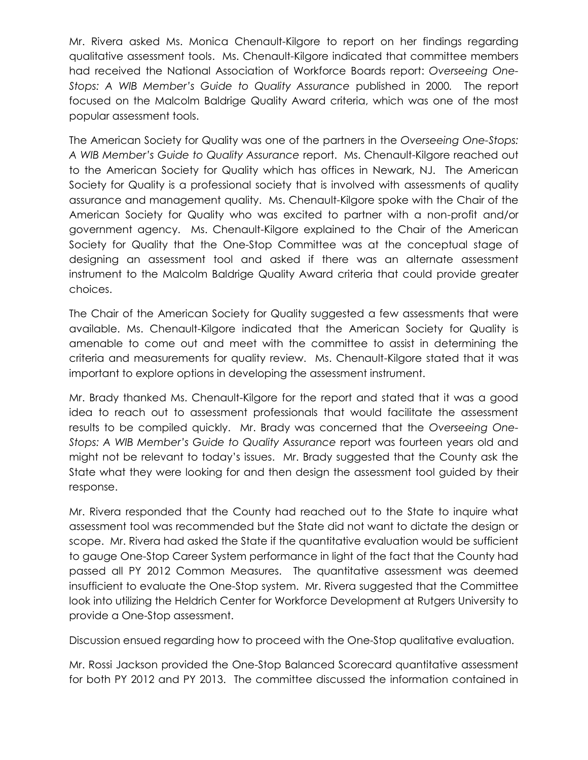Mr. Rivera asked Ms. Monica Chenault-Kilgore to report on her findings regarding qualitative assessment tools. Ms. Chenault-Kilgore indicated that committee members had received the National Association of Workforce Boards report: *Overseeing One-Stops: A WIB Member's Guide to Quality Assurance* published in 2000*.* The report focused on the Malcolm Baldrige Quality Award criteria, which was one of the most popular assessment tools.

The American Society for Quality was one of the partners in the *Overseeing One-Stops: A WIB Member's Guide to Quality Assurance* report. Ms. Chenault-Kilgore reached out to the American Society for Quality which has offices in Newark, NJ. The American Society for Quality is a professional society that is involved with assessments of quality assurance and management quality. Ms. Chenault-Kilgore spoke with the Chair of the American Society for Quality who was excited to partner with a non-profit and/or government agency. Ms. Chenault-Kilgore explained to the Chair of the American Society for Quality that the One-Stop Committee was at the conceptual stage of designing an assessment tool and asked if there was an alternate assessment instrument to the Malcolm Baldrige Quality Award criteria that could provide greater choices.

The Chair of the American Society for Quality suggested a few assessments that were available. Ms. Chenault-Kilgore indicated that the American Society for Quality is amenable to come out and meet with the committee to assist in determining the criteria and measurements for quality review. Ms. Chenault-Kilgore stated that it was important to explore options in developing the assessment instrument.

Mr. Brady thanked Ms. Chenault-Kilgore for the report and stated that it was a good idea to reach out to assessment professionals that would facilitate the assessment results to be compiled quickly. Mr. Brady was concerned that the *Overseeing One-Stops: A WIB Member's Guide to Quality Assurance* report was fourteen years old and might not be relevant to today's issues. Mr. Brady suggested that the County ask the State what they were looking for and then design the assessment tool guided by their response.

Mr. Rivera responded that the County had reached out to the State to inquire what assessment tool was recommended but the State did not want to dictate the design or scope. Mr. Rivera had asked the State if the quantitative evaluation would be sufficient to gauge One-Stop Career System performance in light of the fact that the County had passed all PY 2012 Common Measures. The quantitative assessment was deemed insufficient to evaluate the One-Stop system. Mr. Rivera suggested that the Committee look into utilizing the Heldrich Center for Workforce Development at Rutgers University to provide a One-Stop assessment.

Discussion ensued regarding how to proceed with the One-Stop qualitative evaluation.

Mr. Rossi Jackson provided the One-Stop Balanced Scorecard quantitative assessment for both PY 2012 and PY 2013. The committee discussed the information contained in